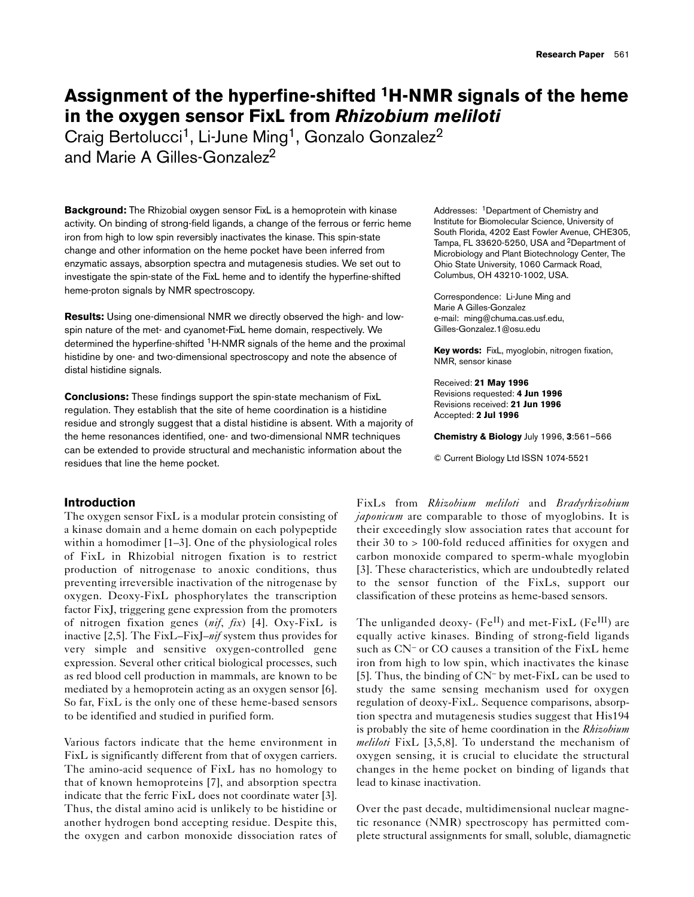# **Assignment of the hyperfine-shifted 1H-NMR signals of the heme in the oxygen sensor FixL from** *Rhizobium meliloti*

Craig Bertolucci<sup>1</sup>, Li-June Ming<sup>1</sup>, Gonzalo Gonzalez<sup>2</sup> and Marie A Gilles-Gonzalez<sup>2</sup>

**Background:** The Rhizobial oxygen sensor FixL is a hemoprotein with kinase activity. On binding of strong-field ligands, a change of the ferrous or ferric heme iron from high to low spin reversibly inactivates the kinase. This spin-state change and other information on the heme pocket have been inferred from enzymatic assays, absorption spectra and mutagenesis studies. We set out to investigate the spin-state of the FixL heme and to identify the hyperfine-shifted heme-proton signals by NMR spectroscopy.

**Results:** Using one-dimensional NMR we directly observed the high- and lowspin nature of the met- and cyanomet-FixL heme domain, respectively. We determined the hyperfine-shifted <sup>1</sup>H-NMR signals of the heme and the proximal histidine by one- and two-dimensional spectroscopy and note the absence of distal histidine signals.

**Conclusions:** These findings support the spin-state mechanism of FixL regulation. They establish that the site of heme coordination is a histidine residue and strongly suggest that a distal histidine is absent. With a majority of the heme resonances identified, one- and two-dimensional NMR techniques can be extended to provide structural and mechanistic information about the residues that line the heme pocket.

# **Introduction**

The oxygen sensor FixL is a modular protein consisting of a kinase domain and a heme domain on each polypeptide within a homodimer [1–3]. One of the physiological roles of FixL in Rhizobial nitrogen fixation is to restrict production of nitrogenase to anoxic conditions, thus preventing irreversible inactivation of the nitrogenase by oxygen. Deoxy-FixL phosphorylates the transcription factor FixJ, triggering gene expression from the promoters of nitrogen fixation genes (*nif*, *fix*) [4]. Oxy-FixL is inactive [2,5]. The FixL–FixJ–*nif* system thus provides for very simple and sensitive oxygen-controlled gene expression. Several other critical biological processes, such as red blood cell production in mammals, are known to be mediated by a hemoprotein acting as an oxygen sensor [6]. So far, FixL is the only one of these heme-based sensors to be identified and studied in purified form.

Various factors indicate that the heme environment in FixL is significantly different from that of oxygen carriers. The amino-acid sequence of FixL has no homology to that of known hemoproteins [7], and absorption spectra indicate that the ferric FixL does not coordinate water [3]. Thus, the distal amino acid is unlikely to be histidine or another hydrogen bond accepting residue. Despite this, the oxygen and carbon monoxide dissociation rates of

Addresses: 1Department of Chemistry and Institute for Biomolecular Science, University of South Florida, 4202 East Fowler Avenue, CHE305, Tampa, FL 33620-5250, USA and 2Department of Microbiology and Plant Biotechnology Center, The Ohio State University, 1060 Carmack Road, Columbus, OH 43210-1002, USA.

Correspondence: Li-June Ming and Marie A Gilles-Gonzalez e-mail: ming@chuma.cas.usf.edu, Gilles-Gonzalez.1@osu.edu

**Key words:** FixL, myoglobin, nitrogen fixation, NMR, sensor kinase

Received: **21 May 1996** Revisions requested: **4 Jun 1996** Revisions received: **21 Jun 1996** Accepted: **2 Jul 1996**

**Chemistry & Biology** July 1996, **3**:561–566

© Current Biology Ltd ISSN 1074-5521

FixLs from *Rhizobium meliloti* and *Bradyrhizobium japonicum* are comparable to those of myoglobins. It is their exceedingly slow association rates that account for their 30 to > 100-fold reduced affinities for oxygen and carbon monoxide compared to sperm-whale myoglobin [3]. These characteristics, which are undoubtedly related to the sensor function of the FixLs, support our classification of these proteins as heme-based sensors.

The unliganded deoxy- ( $Fe^{II}$ ) and met-FixL ( $Fe^{III}$ ) are equally active kinases. Binding of strong-field ligands such as CN– or CO causes a transition of the FixL heme iron from high to low spin, which inactivates the kinase [5]. Thus, the binding of CN– by met-FixL can be used to study the same sensing mechanism used for oxygen regulation of deoxy-FixL. Sequence comparisons, absorption spectra and mutagenesis studies suggest that His194 is probably the site of heme coordination in the *Rhizobium meliloti* FixL [3,5,8]. To understand the mechanism of oxygen sensing, it is crucial to elucidate the structural changes in the heme pocket on binding of ligands that lead to kinase inactivation.

Over the past decade, multidimensional nuclear magnetic resonance (NMR) spectroscopy has permitted complete structural assignments for small, soluble, diamagnetic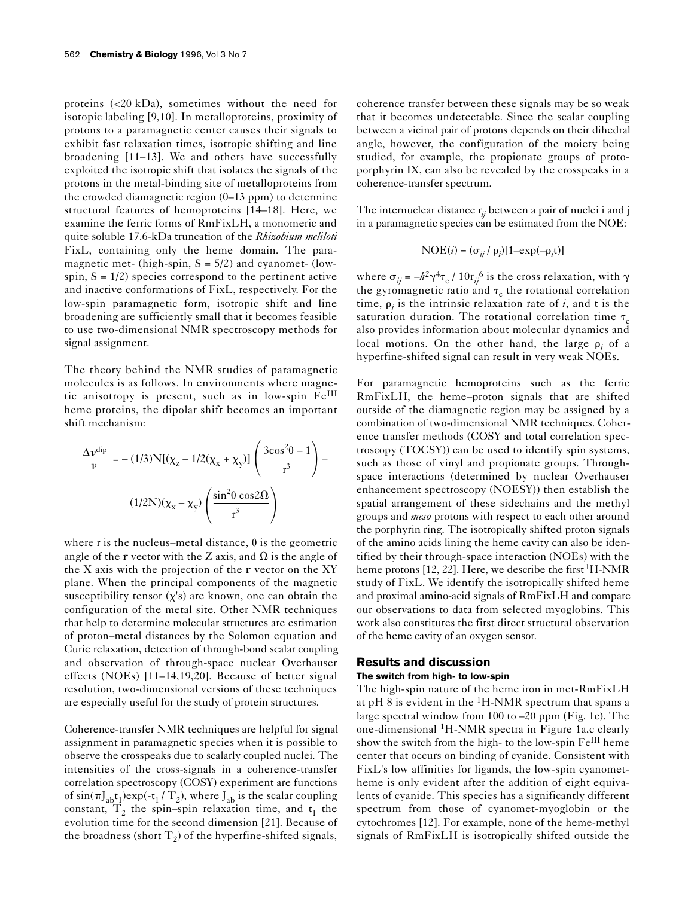proteins (<20 kDa), sometimes without the need for isotopic labeling [9,10]. In metalloproteins, proximity of protons to a paramagnetic center causes their signals to exhibit fast relaxation times, isotropic shifting and line broadening [11–13]. We and others have successfully exploited the isotropic shift that isolates the signals of the protons in the metal-binding site of metalloproteins from the crowded diamagnetic region (0–13 ppm) to determine structural features of hemoproteins [14–18]. Here, we examine the ferric forms of RmFixLH, a monomeric and quite soluble 17.6-kDa truncation of the *Rhizobium meliloti* FixL, containing only the heme domain. The paramagnetic met- (high-spin,  $S = 5/2$ ) and cyanomet- (lowspin,  $S = 1/2$ ) species correspond to the pertinent active and inactive conformations of FixL, respectively. For the low-spin paramagnetic form, isotropic shift and line broadening are sufficiently small that it becomes feasible to use two-dimensional NMR spectroscopy methods for signal assignment.

The theory behind the NMR studies of paramagnetic molecules is as follows. In environments where magnetic anisotropy is present, such as in low-spin FeIII heme proteins, the dipolar shift becomes an important shift mechanism:

$$
\frac{\Delta v^{\text{dip}}}{v} = -(1/3)N[(\chi_z - 1/2(\chi_x + \chi_y)]\left(\frac{3\cos^2\theta - 1}{r^3}\right) -
$$

$$
(1/2N)(\chi_x - \chi_y)\left(\frac{\sin^2\theta\cos 2\Omega}{r^3}\right)
$$

where r is the nucleus–metal distance,  $\theta$  is the geometric angle of the **r** vector with the Z axis, and  $\Omega$  is the angle of the X axis with the projection of the  $r$  vector on the XY plane. When the principal components of the magnetic susceptibility tensor  $(\chi's)$  are known, one can obtain the configuration of the metal site. Other NMR techniques that help to determine molecular structures are estimation of proton–metal distances by the Solomon equation and Curie relaxation, detection of through-bond scalar coupling and observation of through-space nuclear Overhauser effects (NOEs) [11–14,19,20]. Because of better signal resolution, two-dimensional versions of these techniques are especially useful for the study of protein structures.

Coherence-transfer NMR techniques are helpful for signal assignment in paramagnetic species when it is possible to observe the crosspeaks due to scalarly coupled nuclei. The intensities of the cross-signals in a coherence-transfer correlation spectroscopy (COSY) experiment are functions of  $sin(\pi J_{ab}t_1)exp(-t_1 / T_2)$ , where  $J_{ab}$  is the scalar coupling constant,  $T_2$  the spin–spin relaxation time, and  $t_1$  the evolution time for the second dimension [21]. Because of the broadness (short  $T<sub>2</sub>$ ) of the hyperfine-shifted signals,

coherence transfer between these signals may be so weak that it becomes undetectable. Since the scalar coupling between a vicinal pair of protons depends on their dihedral angle, however, the configuration of the moiety being studied, for example, the propionate groups of protoporphyrin IX, can also be revealed by the crosspeaks in a coherence-transfer spectrum.

The internuclear distance  $r_{ij}$  between a pair of nuclei i and j in a paramagnetic species can be estimated from the NOE:

$$
NOE(i) = (\sigma_{ij} / \rho_i)[1 - exp(-\rho_i t)]
$$

where  $\sigma_{ij} = -h^2 \gamma^4 \tau_c / 10 r_{ij}^6$  is the cross relaxation, with  $\gamma$ the gyromagnetic ratio and  $\tau_c$  the rotational correlation time,  $\rho_i$  is the intrinsic relaxation rate of  $i$ , and t is the saturation duration. The rotational correlation time  $\tau_c$ also provides information about molecular dynamics and local motions. On the other hand, the large  $\rho_i$  of a hyperfine-shifted signal can result in very weak NOEs.

For paramagnetic hemoproteins such as the ferric RmFixLH, the heme–proton signals that are shifted outside of the diamagnetic region may be assigned by a combination of two-dimensional NMR techniques. Coherence transfer methods (COSY and total correlation spectroscopy (TOCSY)) can be used to identify spin systems, such as those of vinyl and propionate groups. Throughspace interactions (determined by nuclear Overhauser enhancement spectroscopy (NOESY)) then establish the spatial arrangement of these sidechains and the methyl groups and *meso* protons with respect to each other around the porphyrin ring. The isotropically shifted proton signals of the amino acids lining the heme cavity can also be identified by their through-space interaction (NOEs) with the heme protons [12, 22]. Here, we describe the first <sup>1</sup>H-NMR study of FixL. We identify the isotropically shifted heme and proximal amino-acid signals of RmFixLH and compare our observations to data from selected myoglobins. This work also constitutes the first direct structural observation of the heme cavity of an oxygen sensor.

# **Results and discussion**

#### **The switch from high- to low-spin**

The high-spin nature of the heme iron in met-RmFixLH at pH 8 is evident in the  ${}^{1}$ H-NMR spectrum that spans a large spectral window from 100 to –20 ppm (Fig. 1c). The one-dimensional 1H-NMR spectra in Figure 1a,c clearly show the switch from the high- to the low-spin Fe<sup>III</sup> heme center that occurs on binding of cyanide. Consistent with FixL's low affinities for ligands, the low-spin cyanometheme is only evident after the addition of eight equivalents of cyanide. This species has a significantly different spectrum from those of cyanomet-myoglobin or the cytochromes [12]. For example, none of the heme-methyl signals of RmFixLH is isotropically shifted outside the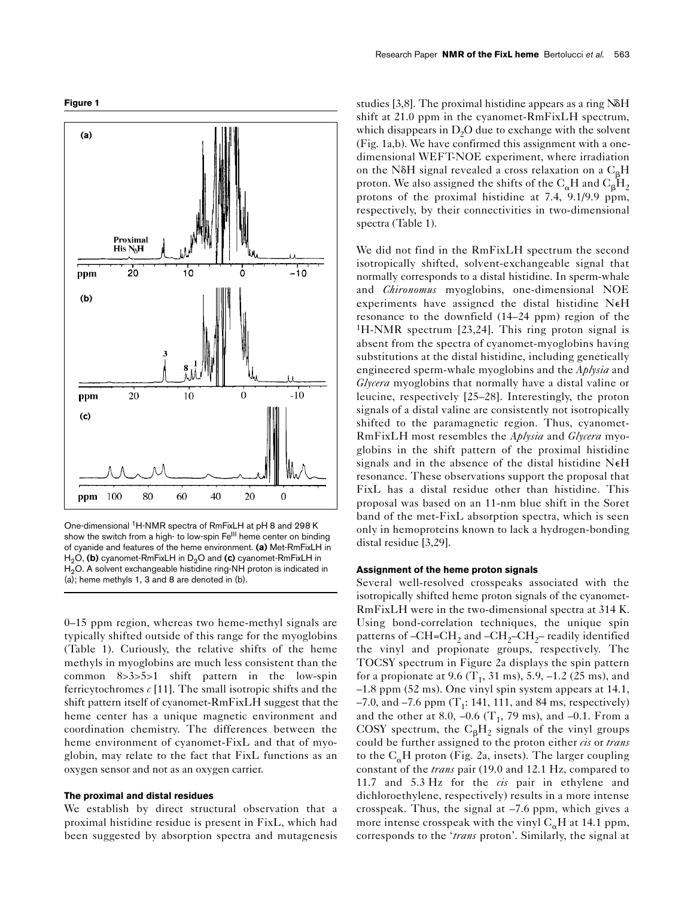**Figure 1**



One-dimensional 1H-NMR spectra of RmFixLH at pH 8 and 298 K show the switch from a high- to low-spin Fe<sup>III</sup> heme center on binding of cyanide and features of the heme environment. **(a)** Met-RmFixLH in H<sub>2</sub>O, (b) cyanomet-RmFixLH in D<sub>2</sub>O and (c) cyanomet-RmFixLH in  $H<sub>2</sub>O$ . A solvent exchangeable histidine ring-NH proton is indicated in (a); heme methyls 1, 3 and 8 are denoted in (b).

0–15 ppm region, whereas two heme-methyl signals are typically shifted outside of this range for the myoglobins (Table 1). Curiously, the relative shifts of the heme methyls in myoglobins are much less consistent than the common 8>3>5>1 shift pattern in the low-spin ferricytochromes  $c$  [11]. The small isotropic shifts and the shift pattern itself of cyanomet-RmFixLH suggest that the heme center has a unique magnetic environment and coordination chemistry. The differences between the heme environment of cyanomet-FixL and that of myoglobin, may relate to the fact that FixL functions as an oxygen sensor and not as an oxygen carrier.

# **The proximal and distal residues**

We establish by direct structural observation that a proximal histidine residue is present in FixL, which had been suggested by absorption spectra and mutagenesis studies [3,8]. The proximal histidine appears as a ring  $N\delta H$ shift at 21.0 ppm in the cyanomet-RmFixLH spectrum, which disappears in  $D_2O$  due to exchange with the solvent (Fig. 1a,b). We have confirmed this assignment with a onedimensional WEFT-NOE experiment, where irradiation on the N $\delta$ H signal revealed a cross relaxation on a C<sub>B</sub>H proton. We also assigned the shifts of the  $C_{\alpha}H$  and  $C_{\beta}H_2$ protons of the proximal histidine at 7.4, 9.1/9.9 ppm, respectively, by their connectivities in two-dimensional spectra (Table 1).

We did not find in the RmFixLH spectrum the second isotropically shifted, solvent-exchangeable signal that normally corresponds to a distal histidine. In sperm-whale and *Chironomus* myoglobins, one-dimensional NOE experiments have assigned the distal histidine NeH resonance to the downfield (14–24 ppm) region of the 1H-NMR spectrum [23,24]. This ring proton signal is absent from the spectra of cyanomet-myoglobins having substitutions at the distal histidine, including genetically engineered sperm-whale myoglobins and the *Aplysia* and *Glycera* myoglobins that normally have a distal valine or leucine, respectively [25–28]. Interestingly, the proton signals of a distal valine are consistently not isotropically shifted to the paramagnetic region. Thus, cyanomet-RmFixLH most resembles the *Aplysia* and *Glycera* myoglobins in the shift pattern of the proximal histidine signals and in the absence of the distal histidine NeH resonance. These observations support the proposal that FixL has a distal residue other than histidine. This proposal was based on an 11-nm blue shift in the Soret band of the met-FixL absorption spectra, which is seen only in hemoproteins known to lack a hydrogen-bonding distal residue [3,29].

### **Assignment of the heme proton signals**

Several well-resolved crosspeaks associated with the isotropically shifted heme proton signals of the cyanomet-RmFixLH were in the two-dimensional spectra at 314 K. Using bond-correlation techniques, the unique spin patterns of  $-CH = CH_2$  and  $-CH_2-CH_2$ – readily identified the vinyl and propionate groups, respectively. The TOCSY spectrum in Figure 2a displays the spin pattern for a propionate at 9.6 (T<sub>1</sub>, 31 ms), 5.9,  $-1.2$  (25 ms), and –1.8 ppm (52 ms). One vinyl spin system appears at 14.1, –7.0, and –7.6 ppm  $(T_1: 141, 111,$  and 84 ms, respectively) and the other at 8.0,  $-0.6$  (T<sub>1</sub>, 79 ms), and  $-0.1$ . From a COSY spectrum, the  $C_\beta H_2$  signals of the vinyl groups could be further assigned to the proton either *cis* or *trans* to the  $C_{\alpha}H$  proton (Fig. 2a, insets). The larger coupling constant of the *trans* pair (19.0 and 12.1 Hz, compared to 11.7 and 5.3 Hz for the *cis* pair in ethylene and dichloroethylene, respectively) results in a more intense crosspeak. Thus, the signal at –7.6 ppm, which gives a more intense crosspeak with the vinyl  $C_{\alpha}H$  at 14.1 ppm, corresponds to the '*trans* proton'. Similarly, the signal at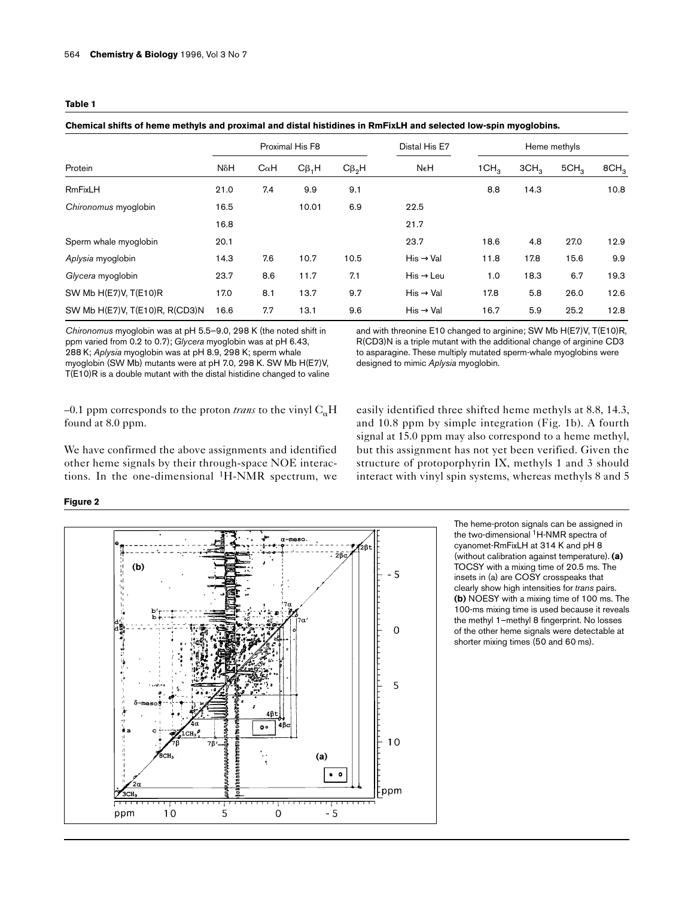| Protein                        | Proximal His F8 |             |             |             | Distal His E7         | Heme methyls     |                  |                  |                  |
|--------------------------------|-----------------|-------------|-------------|-------------|-----------------------|------------------|------------------|------------------|------------------|
|                                | NδH             | $C\alpha H$ | $C\beta_1H$ | $C\beta_2H$ | NeH                   | 1CH <sub>3</sub> | 3CH <sub>3</sub> | 5CH <sub>3</sub> | 8CH <sub>3</sub> |
| <b>RmFixLH</b>                 | 21.0            | 7.4         | 9.9         | 9.1         |                       | 8.8              | 14.3             |                  | 10.8             |
| Chironomus myoglobin           | 16.5            |             | 10.01       | 6.9         | 22.5                  |                  |                  |                  |                  |
|                                | 16.8            |             |             |             | 21.7                  |                  |                  |                  |                  |
| Sperm whale myoglobin          | 20.1            |             |             |             | 23.7                  | 18.6             | 4.8              | 27.0             | 12.9             |
| Aplysia myoglobin              | 14.3            | 7.6         | 10.7        | 10.5        | His $\rightarrow$ Val | 11.8             | 17.8             | 15.6             | 9.9              |
| Glycera myoglobin              | 23.7            | 8.6         | 11.7        | 7.1         | $His \rightarrow Leu$ | 1.0              | 18.3             | 6.7              | 19.3             |
| SW Mb H(E7)V, T(E10)R          | 17.0            | 8.1         | 13.7        | 9.7         | $His \rightarrow Val$ | 17.8             | 5.8              | 26.0             | 12.6             |
| SW Mb H(E7)V, T(E10)R, R(CD3)N | 16.6            | 7.7         | 13.1        | 9.6         | $His \rightarrow Val$ | 16.7             | 5.9              | 25.2             | 12.8             |

*Chironomus* myoglobin was at pH 5.5–9.0, 298 K (the noted shift in ppm varied from 0.2 to 0.7); *Glycera* myoglobin was at pH 6.43, 288 K; *Aplysia* myoglobin was at pH 8.9, 298 K; sperm whale myoglobin (SW Mb) mutants were at pH 7.0, 298 K. SW Mb H(E7)V, T(E10)R is a double mutant with the distal histidine changed to valine and with threonine E10 changed to arginine; SW Mb H(E7)V, T(E10)R, R(CD3)N is a triple mutant with the additional change of arginine CD3 to asparagine. These multiply mutated sperm-whale myoglobins were designed to mimic *Aplysia* myoglobin.

 $-0.1$  ppm corresponds to the proton *trans* to the vinyl  $C_{\alpha}H$ found at 8.0 ppm.

We have confirmed the above assignments and identified other heme signals by their through-space NOE interactions. In the one-dimensional  ${}^{1}H\text{-NMR}$  spectrum, we

**Figure 2**

easily identified three shifted heme methyls at 8.8, 14.3, and 10.8 ppm by simple integration (Fig. 1b). A fourth signal at 15.0 ppm may also correspond to a heme methyl, but this assignment has not yet been verified. Given the structure of protoporphyrin IX, methyls 1 and 3 should interact with vinyl spin systems, whereas methyls 8 and 5



The heme-proton signals can be assigned in the two-dimensional <sup>1</sup>H-NMR spectra of cyanomet-RmFixLH at 314 K and pH 8 (without calibration against temperature). **(a)** TOCSY with a mixing time of 20.5 ms. The insets in (a) are COSY crosspeaks that clearly show high intensities for *trans* pairs. **(b)** NOESY with a mixing time of 100 ms. The 100-ms mixing time is used because it reveals the methyl 1–methyl 8 fingerprint. No losses of the other heme signals were detectable at shorter mixing times (50 and 60 ms).

| ۰.<br>٧<br>×<br>×<br>. . |  |
|--------------------------|--|
|--------------------------|--|

**Chemical shifts of heme methyls and proximal and distal histidines in RmFixLH and selected low-spin myoglobins.**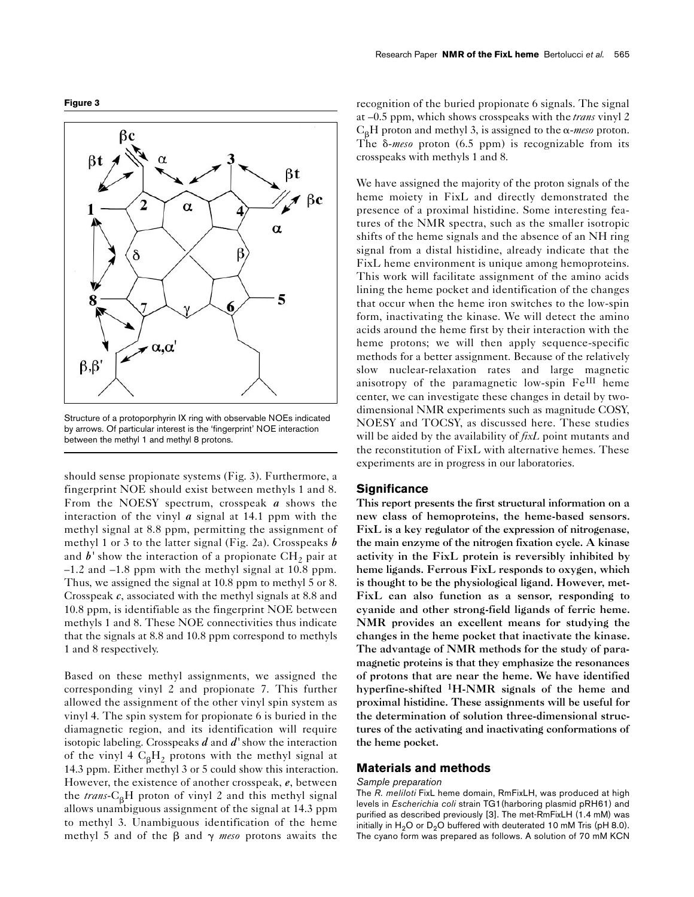



Structure of a protoporphyrin IX ring with observable NOEs indicated by arrows. Of particular interest is the 'fingerprint' NOE interaction between the methyl 1 and methyl 8 protons.

should sense propionate systems (Fig. 3). Furthermore, a fingerprint NOE should exist between methyls 1 and 8. From the NOESY spectrum, crosspeak *a* shows the interaction of the vinyl *a* signal at 14.1 ppm with the methyl signal at 8.8 ppm, permitting the assignment of methyl 1 or 3 to the latter signal (Fig. 2a). Crosspeaks *b* and  $b'$  show the interaction of a propionate  $CH<sub>2</sub>$  pair at –1.2 and –1.8 ppm with the methyl signal at 10.8 ppm. Thus, we assigned the signal at 10.8 ppm to methyl 5 or 8. Crosspeak *c*, associated with the methyl signals at 8.8 and 10.8 ppm, is identifiable as the fingerprint NOE between methyls 1 and 8. These NOE connectivities thus indicate that the signals at 8.8 and 10.8 ppm correspond to methyls 1 and 8 respectively.

Based on these methyl assignments, we assigned the corresponding vinyl 2 and propionate 7. This further allowed the assignment of the other vinyl spin system as vinyl 4. The spin system for propionate 6 is buried in the diamagnetic region, and its identification will require isotopic labeling. Crosspeaks *d* and *d'* show the interaction of the vinyl 4  $C_8H_2$  protons with the methyl signal at 14.3 ppm. Either methyl 3 or 5 could show this interaction. However, the existence of another crosspeak, *e*, between the  $trans-C<sub>B</sub>H$  proton of vinyl 2 and this methyl signal allows unambiguous assignment of the signal at 14.3 ppm to methyl 3. Unambiguous identification of the heme methyl 5 and of the  $\beta$  and  $\gamma$  meso protons awaits the

recognition of the buried propionate 6 signals. The signal at –0.5 ppm, which shows crosspeaks with the *trans* vinyl 2  $C_{\beta}H$  proton and methyl 3, is assigned to the  $\alpha$ -meso proton. The  $\delta$ -meso proton (6.5 ppm) is recognizable from its crosspeaks with methyls 1 and 8.

We have assigned the majority of the proton signals of the heme moiety in FixL and directly demonstrated the presence of a proximal histidine. Some interesting features of the NMR spectra, such as the smaller isotropic shifts of the heme signals and the absence of an NH ring signal from a distal histidine, already indicate that the FixL heme environment is unique among hemoproteins. This work will facilitate assignment of the amino acids lining the heme pocket and identification of the changes that occur when the heme iron switches to the low-spin form, inactivating the kinase. We will detect the amino acids around the heme first by their interaction with the heme protons; we will then apply sequence-specific methods for a better assignment. Because of the relatively slow nuclear-relaxation rates and large magnetic anisotropy of the paramagnetic low-spin Fe<sup>III</sup> heme center, we can investigate these changes in detail by twodimensional NMR experiments such as magnitude COSY, NOESY and TOCSY, as discussed here. These studies will be aided by the availability of *fixL* point mutants and the reconstitution of FixL with alternative hemes. These experiments are in progress in our laboratories.

#### **Significance**

This report presents the first structural information on a new class of hemoproteins, the heme-based sensors. FixL is a key regulator of the expression of nitrogenase, the main enzyme of the nitrogen fixation cycle. A kinase activity in the FixL protein is reversibly inhibited by heme ligands. Ferrous FixL responds to oxygen, which is thought to be the physiological ligand. However, met-FixL can also function as a sensor, responding to cyanide and other strong-field ligands of ferric heme. NMR provides an excellent means for studying the changes in the heme pocket that inactivate the kinase. The advantage of NMR methods for the study of paramagnetic proteins is that they emphasize the resonances of protons that are near the heme. We have identified hyperfine-shifted <sup>1</sup>H-NMR signals of the heme and proximal histidine. These assignments will be useful for the determination of solution three-dimensional structures of the activating and inactivating conformations of the heme pocket.

# **Materials and methods**

#### *Sample preparation*

The *R. meliloti* FixL heme domain, RmFixLH, was produced at high levels in *Escherichia coli* strain TG1(harboring plasmid pRH61) and purified as described previously [3]. The met-RmFixLH (1.4 mM) was initially in  $H_2O$  or  $D_2O$  buffered with deuterated 10 mM Tris (pH 8.0). The cyano form was prepared as follows. A solution of 70 mM KCN